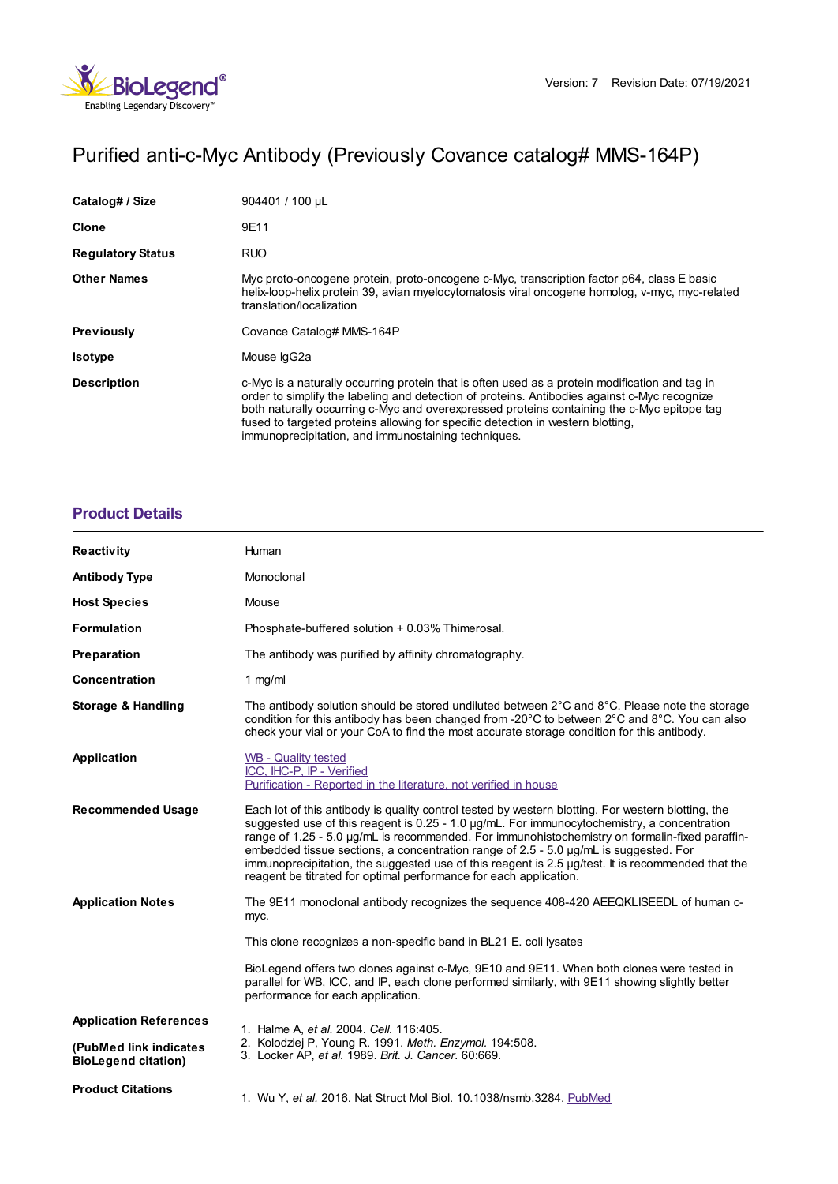

# Purified anti-c-Myc Antibody (Previously Covance catalog# MMS-164P)

| Catalog# / Size          | 904401 / 100 uL                                                                                                                                                                                                                                                                                                                                                                                                                        |
|--------------------------|----------------------------------------------------------------------------------------------------------------------------------------------------------------------------------------------------------------------------------------------------------------------------------------------------------------------------------------------------------------------------------------------------------------------------------------|
| Clone                    | 9E11                                                                                                                                                                                                                                                                                                                                                                                                                                   |
| <b>Regulatory Status</b> | <b>RUO</b>                                                                                                                                                                                                                                                                                                                                                                                                                             |
| <b>Other Names</b>       | Myc proto-oncogene protein, proto-oncogene c-Myc, transcription factor p64, class E basic<br>helix-loop-helix protein 39, avian myelocytomatosis viral oncogene homolog, v-myc, myc-related<br>translation/localization                                                                                                                                                                                                                |
| <b>Previously</b>        | Covance Catalog# MMS-164P                                                                                                                                                                                                                                                                                                                                                                                                              |
| <b>Isotype</b>           | Mouse IgG2a                                                                                                                                                                                                                                                                                                                                                                                                                            |
| <b>Description</b>       | c-Myc is a naturally occurring protein that is often used as a protein modification and tag in<br>order to simplify the labeling and detection of proteins. Antibodies against c-Myc recognize<br>both naturally occurring c-Myc and overexpressed proteins containing the c-Myc epitope tag<br>fused to targeted proteins allowing for specific detection in western blotting.<br>immunoprecipitation, and immunostaining techniques. |

# **[Product](https://www.biolegend.com/en-gb/products/purified-anti-c-myc-antibody-11326?pdf=true&displayInline=true&leftRightMargin=15&topBottomMargin=15&filename=Purified anti-c-Myc Antibody.pdf#productDetails) Details**

| Reactivity                                           | Human                                                                                                                                                                                                                                                                                                                                                                                                                                                                                                                                                                 |
|------------------------------------------------------|-----------------------------------------------------------------------------------------------------------------------------------------------------------------------------------------------------------------------------------------------------------------------------------------------------------------------------------------------------------------------------------------------------------------------------------------------------------------------------------------------------------------------------------------------------------------------|
| <b>Antibody Type</b>                                 | Monoclonal                                                                                                                                                                                                                                                                                                                                                                                                                                                                                                                                                            |
| <b>Host Species</b>                                  | Mouse                                                                                                                                                                                                                                                                                                                                                                                                                                                                                                                                                                 |
| <b>Formulation</b>                                   | Phosphate-buffered solution + 0.03% Thimerosal.                                                                                                                                                                                                                                                                                                                                                                                                                                                                                                                       |
| Preparation                                          | The antibody was purified by affinity chromatography.                                                                                                                                                                                                                                                                                                                                                                                                                                                                                                                 |
| <b>Concentration</b>                                 | 1 $mg/ml$                                                                                                                                                                                                                                                                                                                                                                                                                                                                                                                                                             |
| <b>Storage &amp; Handling</b>                        | The antibody solution should be stored undiluted between 2°C and 8°C. Please note the storage<br>condition for this antibody has been changed from -20°C to between 2°C and 8°C. You can also<br>check your vial or your CoA to find the most accurate storage condition for this antibody.                                                                                                                                                                                                                                                                           |
| Application                                          | <b>WB</b> - Quality tested<br>ICC, IHC-P, IP - Verified<br>Purification - Reported in the literature, not verified in house                                                                                                                                                                                                                                                                                                                                                                                                                                           |
| <b>Recommended Usage</b>                             | Each lot of this antibody is quality control tested by western blotting. For western blotting, the<br>suggested use of this reagent is 0.25 - 1.0 µg/mL. For immunocytochemistry, a concentration<br>range of 1.25 - 5.0 µg/mL is recommended. For immunohistochemistry on formalin-fixed paraffin-<br>embedded tissue sections, a concentration range of 2.5 - 5.0 µg/mL is suggested. For<br>immunoprecipitation, the suggested use of this reagent is 2.5 µg/test. It is recommended that the<br>reagent be titrated for optimal performance for each application. |
| <b>Application Notes</b>                             | The 9E11 monoclonal antibody recognizes the sequence 408-420 AEEQKLISEEDL of human c-<br>myc.                                                                                                                                                                                                                                                                                                                                                                                                                                                                         |
|                                                      | This clone recognizes a non-specific band in BL21 E. coli lysates                                                                                                                                                                                                                                                                                                                                                                                                                                                                                                     |
|                                                      | BioLegend offers two clones against c-Myc, 9E10 and 9E11. When both clones were tested in<br>parallel for WB, ICC, and IP, each clone performed similarly, with 9E11 showing slightly better<br>performance for each application.                                                                                                                                                                                                                                                                                                                                     |
| <b>Application References</b>                        | 1. Halme A, et al. 2004. Cell. 116:405.<br>2. Kolodziej P, Young R. 1991. Meth. Enzymol. 194:508.<br>3. Locker AP, et al. 1989. Brit. J. Cancer. 60:669.                                                                                                                                                                                                                                                                                                                                                                                                              |
| (PubMed link indicates<br><b>BioLegend citation)</b> |                                                                                                                                                                                                                                                                                                                                                                                                                                                                                                                                                                       |
| <b>Product Citations</b>                             | 1. Wu Y, et al. 2016. Nat Struct Mol Biol. 10.1038/nsmb.3284. PubMed                                                                                                                                                                                                                                                                                                                                                                                                                                                                                                  |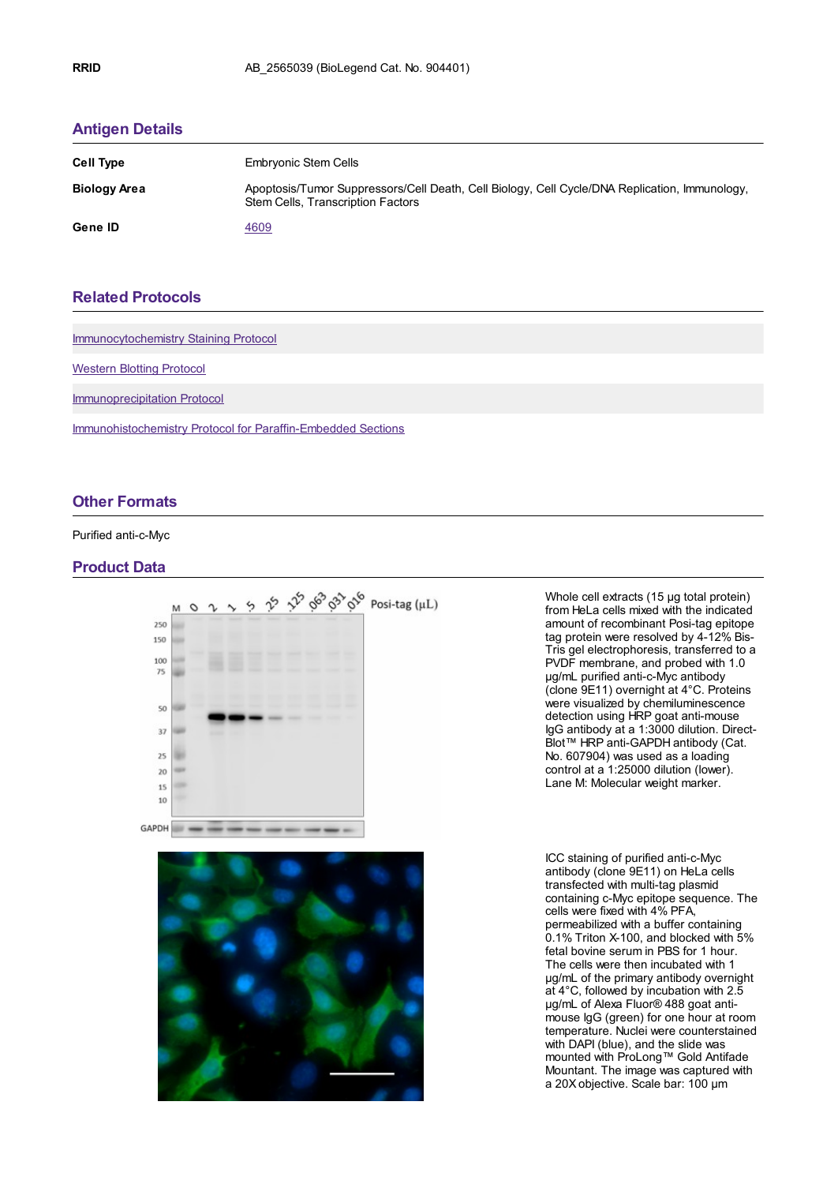## **[Antigen](https://www.biolegend.com/en-gb/products/purified-anti-c-myc-antibody-11326?pdf=true&displayInline=true&leftRightMargin=15&topBottomMargin=15&filename=Purified anti-c-Myc Antibody.pdf#antigenDetails) Details**

| <b>Cell Type</b>    | <b>Embryonic Stem Cells</b>                                                                                                               |
|---------------------|-------------------------------------------------------------------------------------------------------------------------------------------|
| <b>Biology Area</b> | Apoptosis/Tumor Suppressors/Cell Death, Cell Biology, Cell Cycle/DNA Replication, Immunology,<br><b>Stem Cells, Transcription Factors</b> |
| Gene ID             | 4609                                                                                                                                      |

# **Related [Protocols](https://www.biolegend.com/en-gb/products/purified-anti-c-myc-antibody-11326?pdf=true&displayInline=true&leftRightMargin=15&topBottomMargin=15&filename=Purified anti-c-Myc Antibody.pdf#productRelatedProtocols)**

[Immunocytochemistry](https://www.biolegend.com/protocols/immunocytochemistry-staining-protocol/4275/) Staining Protocol

[Western](https://www.biolegend.com/protocols/western-blotting-protocol/4269/) Blotting Protocol

[Immunoprecipitation](https://www.biolegend.com/protocols/immunoprecipitation-protocol/4258/) Protocol

[Immunohistochemistry](https://www.biolegend.com/protocols/immunohistochemistry-protocol-for-paraffin-embedded-sections/4256/) Protocol for Paraffin-Embedded Sections

### **Other [Formats](https://www.biolegend.com/en-gb/products/purified-anti-c-myc-antibody-11326?pdf=true&displayInline=true&leftRightMargin=15&topBottomMargin=15&filename=Purified anti-c-Myc Antibody.pdf#productOtherFormats)**

### Purified anti-c-Myc

#### **Product Data**





Whole cell extracts (15 µg total protein) from HeLa cells mixed with the indicated amount of recombinant Posi-tag epitope tag protein were resolved by 4-12% Bis-Tris gel electrophoresis, transferred to a PVDF membrane, and probed with 1.0 µg/mL purified anti-c-Myc antibody (clone 9E11) overnight at 4°C. Proteins were visualized by chemiluminescence detection using HRP goat anti-mouse IgG antibody at a 1:3000 dilution. Direct-Blot™ HRP anti-GAPDH antibody (Cat. No. 607904) was used as a loading control at a 1:25000 dilution (lower). Lane M: Molecular weight marker.

ICC staining of purified anti-c-Myc antibody (clone 9E11) on HeLa cells transfected with multi-tag plasmid containing c-Myc epitope sequence. The cells were fixed with 4% PFA, permeabilized with a buffer containing 0.1% Triton X-100, and blocked with 5% fetal bovine serum in PBS for 1 hour. The cells were then incubated with 1 µg/mL of the primary antibody overnight at 4°C, followed by incubation with 2.5 µg/mL of Alexa Fluor® 488 goat antimouse IgG (green) for one hour at room temperature. Nuclei were counterstained with DAPI (blue), and the slide was mounted with ProLong™ Gold Antifade Mountant. The image was captured with a 20X objective. Scale bar: 100 µm